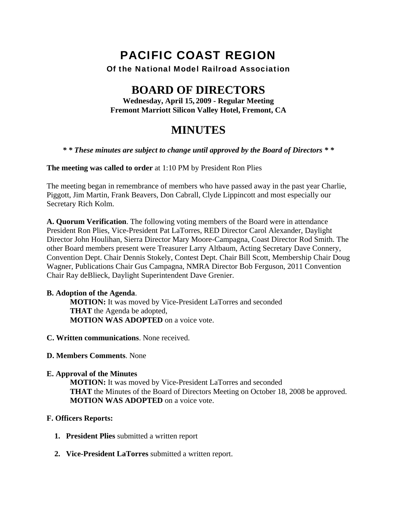# PACIFIC COAST REGION

## Of the National Model Railroad Association

## **BOARD OF DIRECTORS**

**Wednesday, April 15, 2009 - Regular Meeting Fremont Marriott Silicon Valley Hotel, Fremont, CA** 

## **MINUTES**

#### *\* \* These minutes are subject to change until approved by the Board of Directors \* \**

**The meeting was called to order** at 1:10 PM by President Ron Plies

The meeting began in remembrance of members who have passed away in the past year Charlie, Piggott, Jim Martin, Frank Beavers, Don Cabrall, Clyde Lippincott and most especially our Secretary Rich Kolm.

**A. Quorum Verification**. The following voting members of the Board were in attendance President Ron Plies, Vice-President Pat LaTorres, RED Director Carol Alexander, Daylight Director John Houlihan, Sierra Director Mary Moore-Campagna, Coast Director Rod Smith. The other Board members present were Treasurer Larry Altbaum, Acting Secretary Dave Connery, Convention Dept. Chair Dennis Stokely, Contest Dept. Chair Bill Scott, Membership Chair Doug Wagner, Publications Chair Gus Campagna, NMRA Director Bob Ferguson, 2011 Convention Chair Ray deBlieck, Daylight Superintendent Dave Grenier.

#### **B. Adoption of the Agenda**.

**MOTION:** It was moved by Vice-President LaTorres and seconded **THAT** the Agenda be adopted, **MOTION WAS ADOPTED** on a voice vote.

**C. Written communications**. None received.

#### **D. Members Comments**. None

**E. Approval of the Minutes** 

**MOTION:** It was moved by Vice-President LaTorres and seconded **THAT** the Minutes of the Board of Directors Meeting on October 18, 2008 be approved. **MOTION WAS ADOPTED** on a voice vote.

#### **F. Officers Reports:**

- **1. President Plies** submitted a written report
- **2. Vice-President LaTorres** submitted a written report.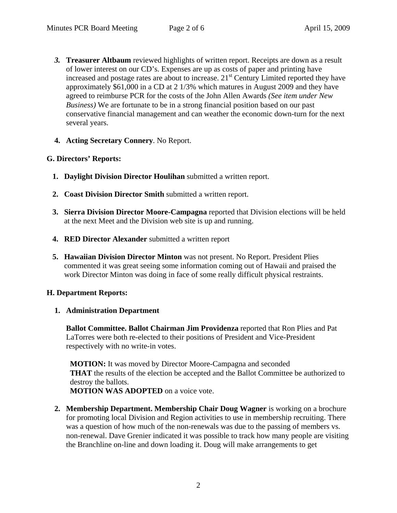- *3.* **Treasurer Altbaum** reviewed highlights of written report. Receipts are down as a result of lower interest on our CD's. Expenses are up as costs of paper and printing have increased and postage rates are about to increase.  $21<sup>st</sup>$  Century Limited reported they have approximately \$61,000 in a CD at 2 1/3% which matures in August 2009 and they have agreed to reimburse PCR for the costs of the John Allen Awards *(See item under New Business)* We are fortunate to be in a strong financial position based on our past conservative financial management and can weather the economic down-turn for the next several years.
- **4. Acting Secretary Connery**. No Report.

## **G. Directors' Reports:**

- **1. Daylight Division Director Houlihan** submitted a written report.
- **2. Coast Division Director Smith** submitted a written report.
- **3. Sierra Division Director Moore-Campagna** reported that Division elections will be held at the next Meet and the Division web site is up and running.
- **4. RED Director Alexander** submitted a written report
- **5. Hawaiian Division Director Minton** was not present. No Report. President Plies commented it was great seeing some information coming out of Hawaii and praised the work Director Minton was doing in face of some really difficult physical restraints.

## **H. Department Reports:**

### **1. Administration Department**

**Ballot Committee. Ballot Chairman Jim Providenza** reported that Ron Plies and Pat LaTorres were both re-elected to their positions of President and Vice-President respectively with no write-in votes.

**MOTION:** It was moved by Director Moore-Campagna and seconded **THAT** the results of the election be accepted and the Ballot Committee be authorized to destroy the ballots. **MOTION WAS ADOPTED** on a voice vote.

**2. Membership Department. Membership Chair Doug Wagner** is working on a brochure for promoting local Division and Region activities to use in membership recruiting. There was a question of how much of the non-renewals was due to the passing of members vs. non-renewal. Dave Grenier indicated it was possible to track how many people are visiting the Branchline on-line and down loading it. Doug will make arrangements to get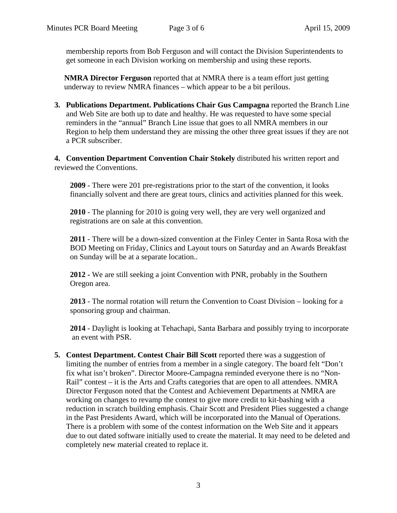membership reports from Bob Ferguson and will contact the Division Superintendents to get someone in each Division working on membership and using these reports.

**NMRA Director Ferguson** reported that at NMRA there is a team effort just getting underway to review NMRA finances – which appear to be a bit perilous.

**3. Publications Department. Publications Chair Gus Campagna** reported the Branch Line and Web Site are both up to date and healthy. He was requested to have some special reminders in the "annual" Branch Line issue that goes to all NMRA members in our Region to help them understand they are missing the other three great issues if they are not a PCR subscriber.

**4. Convention Department Convention Chair Stokely** distributed his written report and reviewed the Conventions.

**2009** - There were 201 pre-registrations prior to the start of the convention, it looks financially solvent and there are great tours, clinics and activities planned for this week.

**2010** - The planning for 2010 is going very well, they are very well organized and registrations are on sale at this convention.

**2011** - There will be a down-sized convention at the Finley Center in Santa Rosa with the BOD Meeting on Friday, Clinics and Layout tours on Saturday and an Awards Breakfast on Sunday will be at a separate location..

**2012 -** We are still seeking a joint Convention with PNR, probably in the Southern Oregon area.

**2013** - The normal rotation will return the Convention to Coast Division – looking for a sponsoring group and chairman.

**2014** - Daylight is looking at Tehachapi, Santa Barbara and possibly trying to incorporate an event with PSR.

**5. Contest Department. Contest Chair Bill Scott** reported there was a suggestion of limiting the number of entries from a member in a single category. The board felt "Don't fix what isn't broken". Director Moore-Campagna reminded everyone there is no "Non-Rail" contest – it is the Arts and Crafts categories that are open to all attendees. NMRA Director Ferguson noted that the Contest and Achievement Departments at NMRA are working on changes to revamp the contest to give more credit to kit-bashing with a reduction in scratch building emphasis. Chair Scott and President Plies suggested a change in the Past Presidents Award, which will be incorporated into the Manual of Operations. There is a problem with some of the contest information on the Web Site and it appears due to out dated software initially used to create the material. It may need to be deleted and completely new material created to replace it.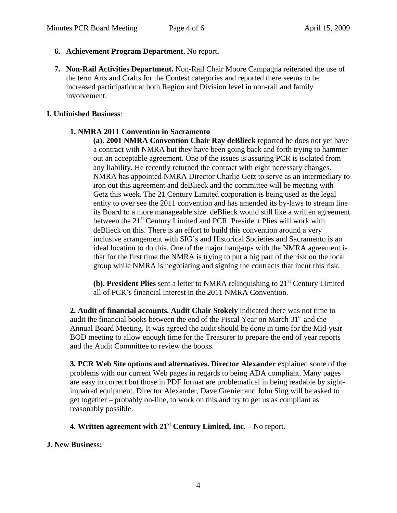- **6. Achievement Program Department.** No report**.**
- **7. Non-Rail Activities Department.** Non-Rail Chair Moore Campagna reiterated the use of the term Arts and Crafts for the Contest categories and reported there seems to be increased participation at both Region and Division level in non-rail and family involvement.

#### **I. Unfinished Business**:

#### **1. NMRA 2011 Convention in Sacramento**

**(a). 2001 NMRA Convention Chair Ray deBlieck** reported he does not yet have a contract with NMRA but they have been going back and forth trying to hammer out an acceptable agreement. One of the issues is assuring PCR is isolated from any liability. He recently returned the contract with eight necessary changes. NMRA has appointed NMRA Director Charlie Getz to serve as an intermediary to iron out this agreement and deBlieck and the committee will be meeting with Getz this week. The 21 Century Limited corporation is being used as the legal entity to over see the 2011 convention and has amended its by-laws to stream line its Board to a more manageable size. deBlieck would still like a written agreement between the 21<sup>st</sup> Century Limited and PCR. President Plies will work with deBlieck on this. There is an effort to build this convention around a very inclusive arrangement with SIG's and Historical Societies and Sacramento is an ideal location to do this. One of the major hang-ups with the NMRA agreement is that for the first time the NMRA is trying to put a big part of the risk on the local group while NMRA is negotiating and signing the contracts that incur this risk.

**(b). President Plies** sent a letter to NMRA relinquishing to 21<sup>st</sup> Century Limited all of PCR's financial interest in the 2011 NMRA Convention.

**2. Audit of financial accounts. Audit Chair Stokely** indicated there was not time to audit the financial books between the end of the Fiscal Year on March  $31<sup>st</sup>$  and the Annual Board Meeting. It was agreed the audit should be done in time for the Mid-year BOD meeting to allow enough time for the Treasurer to prepare the end of year reports and the Audit Committee to review the books.

**3. PCR Web Site options and alternatives. Director Alexander** explained some of the problems with our current Web pages in regards to being ADA compliant. Many pages are easy to correct but those in PDF format are problematical in being readable by sightimpaired equipment. Director Alexander, Dave Grenier and John Sing will be asked to get together – probably on-line, to work on this and try to get us as compliant as reasonably possible.

**4. Written agreement with 21st Century Limited, Inc**. – No report.

### **J. New Business:**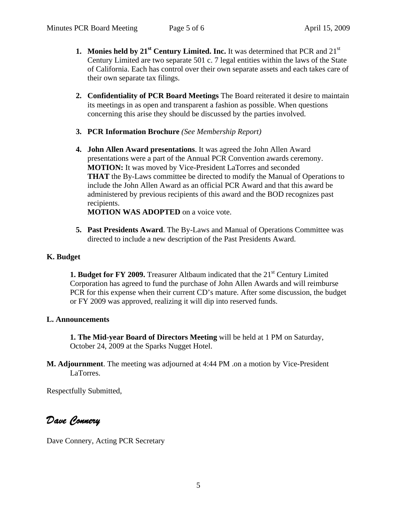- **1.** Monies held by 21<sup>st</sup> Century Limited. Inc. It was determined that PCR and 21<sup>st</sup> Century Limited are two separate 501 c. 7 legal entities within the laws of the State of California. Each has control over their own separate assets and each takes care of their own separate tax filings.
- **2. Confidentiality of PCR Board Meetings** The Board reiterated it desire to maintain its meetings in as open and transparent a fashion as possible. When questions concerning this arise they should be discussed by the parties involved.
- **3. PCR Information Brochure** *(See Membership Report)*
- **4. John Allen Award presentations**. It was agreed the John Allen Award presentations were a part of the Annual PCR Convention awards ceremony. **MOTION:** It was moved by Vice-President LaTorres and seconded **THAT** the By-Laws committee be directed to modify the Manual of Operations to include the John Allen Award as an official PCR Award and that this award be administered by previous recipients of this award and the BOD recognizes past recipients.

**MOTION WAS ADOPTED** on a voice vote.

**5. Past Presidents Award**. The By-Laws and Manual of Operations Committee was directed to include a new description of the Past Presidents Award.

## **K. Budget**

**1. Budget for FY 2009.** Treasurer Altbaum indicated that the 21<sup>st</sup> Century Limited Corporation has agreed to fund the purchase of John Allen Awards and will reimburse PCR for this expense when their current CD's mature. After some discussion, the budget or FY 2009 was approved, realizing it will dip into reserved funds.

## **L. Announcements**

**1. The Mid-year Board of Directors Meeting** will be held at 1 PM on Saturday, October 24, 2009 at the Sparks Nugget Hotel.

**M. Adjournment**. The meeting was adjourned at 4:44 PM .on a motion by Vice-President LaTorres.

Respectfully Submitted,

*Dave Connery* 

Dave Connery, Acting PCR Secretary